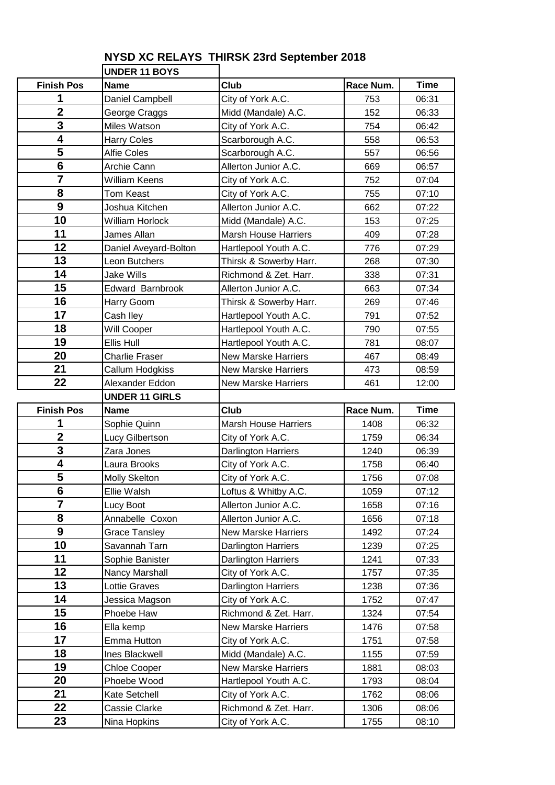## **UNDER 11 BOYS Finish Pos Name Club Race Num. Time** Daniel Campbell City of York A.C. 1 753 06:31 George Craggs Midd (Mandale) A.C. 152 06:33 Miles Watson City of York A.C. 754 06:42 Harry Coles Scarborough A.C. 558 06:53 Alfie Coles Scarborough A.C. 657 06:56 Archie Cann Allerton Junior A.C. 669 06:57 William Keens City of York A.C. 752 07:04 Tom Keast City of York A.C. 755 07:10 **Joshua Kitchen Allerton Junior A.C.** 662 **07:22**  William Horlock Midd (Mandale) A.C. 153 07:25 James Allan Marsh House Harriers 1 409 07:28 Daniel Avevard-Bolton Hartlepool Youth A.C. 1776 07:29 Leon Butchers **Thirsk & Sowerby Harr.** 268 07:30 Jake Wills **Richmond & Zet. Harr.** 1 338 07:31 Edward Barnbrook Allerton Junior A.C. 1 663 07:34 Harry Goom **Thirsk & Sowerby Harr.** 1 269 07:46 Cash Iley **Hartlepool Youth A.C.** 791 07:52 Will Cooper **Hartlepool Youth A.C.** 790 | 07:55 Ellis Hull **Hartlepool Youth A.C. 1** 781 08:07 Charlie Fraser New Marske Harriers 1467 08:49 Callum Hodgkiss New Marske Harriers 1473 08:59 Alexander Eddon New Marske Harriers 1461 12:00 **UNDER 11 GIRLS Finish Pos** Name **Club Race Num.** Time Sophie Quinn Marsh House Harriers 1408 06:32 Lucy Gilbertson City of York A.C. 1759 06:34 Zara Jones **Darlington Harriers** 1240 | 06:39 Laura Brooks City of York A.C. 1758 06:40 Molly Skelton **City of York A.C.** 1756 07:08 Ellie Walsh **Loftus & Whitby A.C.** 1059 07:12 Lucy Boot **Allerton Junior A.C.** 1658 07:16 Annabelle Coxon Allerton Junior A.C. 1656 07:18 Grace Tansley New Marske Harriers 1492 07:24 Savannah Tarn Darlington Harriers 1239 07:25 Sophie Banister **Darlington Harriers** 1241 | 07:33 **I** Nancy Marshall **City of York A.C.** 1757 **1** 07:35 13 Lottie Graves | Darlington Harriers | 1238 | 07:36 **Jessica Magson City of York A.C.** 1752 07:47 Phoebe Haw Richmond & Zet. Harr. 1324 07:54 Ella kemp New Marske Harriers 1476 07:58 Emma Hutton **City of York A.C.** 1751 07:58 Ines Blackwell Midd (Mandale) A.C. 1155 07:59 Chloe Cooper **New Marske Harriers** 1881 08:03 Phoebe Wood **Hartlepool Youth A.C.** 1793 08:04 Kate Setchell **City of York A.C.** 1762 | 08:06 Cassie Clarke **Richmond & Zet. Harr.** 1306 08:06 INina Hopkins Intervention City of York A.C. 1755 1 08:10

## **NYSD XC RELAYS THIRSK 23rd September 2018**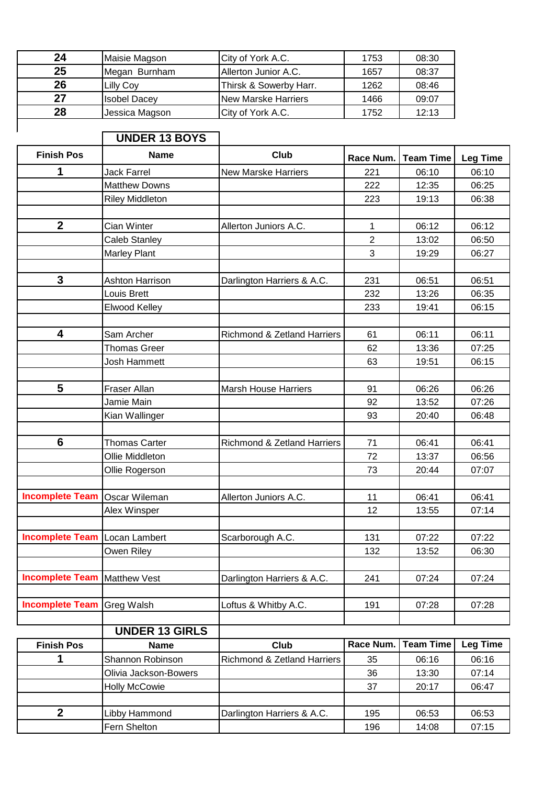| 24 | Maisie Magson       | City of York A.C.          | 1753 | 08:30 |
|----|---------------------|----------------------------|------|-------|
| 25 | Megan Burnham       | Allerton Junior A.C.       | 1657 | 08:37 |
| 26 | Lilly Coy           | Thirsk & Sowerby Harr.     | 1262 | 08:46 |
| 27 | <b>Isobel Dacey</b> | <b>New Marske Harriers</b> | 1466 | 09:07 |
| 28 | Jessica Magson      | City of York A.C.          | 1752 | 12:13 |

**UNDER 13 BOYS**

 $\overline{\phantom{a}}$ 

| <b>Finish Pos</b>      | <b>Name</b>            | Club                                   | Race Num.      | <b>Team Time</b> | <b>Leg Time</b> |
|------------------------|------------------------|----------------------------------------|----------------|------------------|-----------------|
| 1                      | <b>Jack Farrel</b>     | <b>New Marske Harriers</b>             | 221            | 06:10            | 06:10           |
|                        | <b>Matthew Downs</b>   |                                        | 222            | 12:35            | 06:25           |
|                        | <b>Riley Middleton</b> |                                        | 223            | 19:13            | 06:38           |
|                        |                        |                                        |                |                  |                 |
| $\boldsymbol{2}$       | <b>Cian Winter</b>     | Allerton Juniors A.C.                  | $\mathbf{1}$   | 06:12            | 06:12           |
|                        | <b>Caleb Stanley</b>   |                                        | $\overline{2}$ | 13:02            | 06:50           |
|                        | <b>Marley Plant</b>    |                                        | 3              | 19:29            | 06:27           |
|                        |                        |                                        |                |                  |                 |
| 3                      | <b>Ashton Harrison</b> | Darlington Harriers & A.C.             | 231            | 06:51            | 06:51           |
|                        | Louis Brett            |                                        | 232            | 13:26            | 06:35           |
|                        | <b>Elwood Kelley</b>   |                                        | 233            | 19:41            | 06:15           |
|                        |                        |                                        |                |                  |                 |
| 4                      | Sam Archer             | Richmond & Zetland Harriers            | 61             | 06:11            | 06:11           |
|                        | <b>Thomas Greer</b>    |                                        | 62             | 13:36            | 07:25           |
|                        | Josh Hammett           |                                        | 63             | 19:51            | 06:15           |
|                        |                        |                                        |                |                  |                 |
| 5                      | Fraser Allan           | <b>Marsh House Harriers</b>            | 91             | 06:26            | 06:26           |
|                        | Jamie Main             |                                        | 92             | 13:52            | 07:26           |
|                        | Kian Wallinger         |                                        | 93             | 20:40            | 06:48           |
|                        |                        |                                        |                |                  |                 |
| $6\phantom{1}$         | <b>Thomas Carter</b>   | <b>Richmond &amp; Zetland Harriers</b> | 71             | 06:41            | 06:41           |
|                        | Ollie Middleton        |                                        | 72             | 13:37            | 06:56           |
|                        | Ollie Rogerson         |                                        | 73             | 20:44            | 07:07           |
|                        |                        |                                        |                |                  |                 |
| <b>Incomplete Team</b> | <b>Oscar Wileman</b>   | Allerton Juniors A.C.                  | 11             | 06:41            | 06:41           |
|                        | Alex Winsper           |                                        | 12             | 13:55            | 07:14           |
|                        |                        |                                        |                |                  |                 |
| <b>Incomplete Team</b> | Locan Lambert          | Scarborough A.C.                       | 131            | 07:22            | 07:22           |
|                        | Owen Riley             |                                        | 132            | 13:52            | 06:30           |
|                        |                        |                                        |                |                  |                 |
| <b>Incomplete Team</b> | Matthew Vest           | Darlington Harriers & A.C.             | 241            | 07:24            | 07:24           |
|                        |                        |                                        |                |                  |                 |
| <b>Incomplete Team</b> | Greg Walsh             | Loftus & Whitby A.C.                   | 191            | 07:28            | 07:28           |
|                        |                        |                                        |                |                  |                 |
|                        | <b>UNDER 13 GIRLS</b>  |                                        |                |                  |                 |
| <b>Finish Pos</b>      | <b>Name</b>            | Club                                   | Race Num.      | <b>Team Time</b> | <b>Leg Time</b> |
| 1                      | Shannon Robinson       | Richmond & Zetland Harriers            | 35             | 06:16            | 06:16           |
|                        | Olivia Jackson-Bowers  |                                        | 36             | 13:30            | 07:14           |
|                        | <b>Holly McCowie</b>   |                                        | 37             | 20:17            | 06:47           |
|                        |                        |                                        |                |                  |                 |
| $\mathbf{2}$           | Libby Hammond          | Darlington Harriers & A.C.             | 195            | 06:53            | 06:53           |
|                        | Fern Shelton           |                                        | 196            | 14:08            | 07:15           |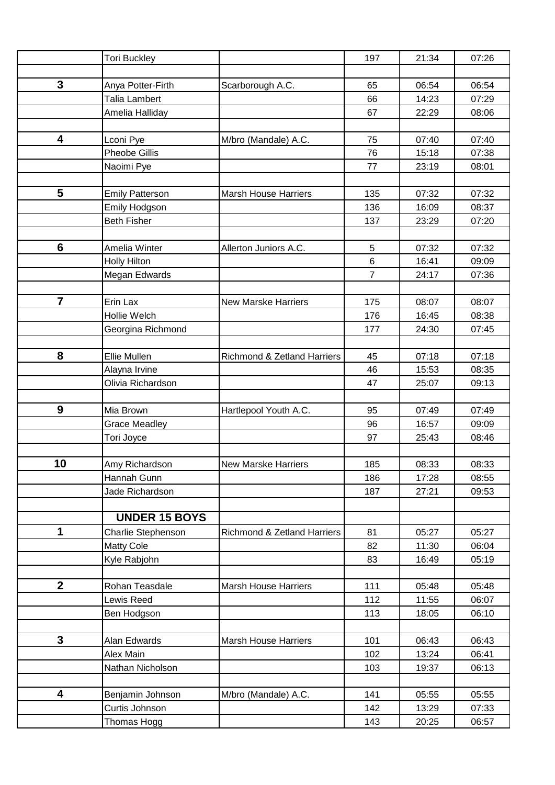|                  | <b>Tori Buckley</b>    |                                        | 197            | 21:34 | 07:26 |
|------------------|------------------------|----------------------------------------|----------------|-------|-------|
|                  |                        |                                        |                |       |       |
| $\mathbf{3}$     | Anya Potter-Firth      | Scarborough A.C.                       | 65             | 06:54 | 06:54 |
|                  | Talia Lambert          |                                        | 66             | 14:23 | 07:29 |
|                  | Amelia Halliday        |                                        | 67             | 22:29 | 08:06 |
|                  |                        |                                        |                |       |       |
| 4                | Lconi Pye              | M/bro (Mandale) A.C.                   | 75             | 07:40 | 07:40 |
|                  | <b>Pheobe Gillis</b>   |                                        | 76             | 15:18 | 07:38 |
|                  | Naoimi Pye             |                                        | 77             | 23:19 | 08:01 |
|                  |                        |                                        |                |       |       |
| 5                | <b>Emily Patterson</b> | <b>Marsh House Harriers</b>            | 135            | 07:32 | 07:32 |
|                  | Emily Hodgson          |                                        | 136            | 16:09 | 08:37 |
|                  | <b>Beth Fisher</b>     |                                        | 137            | 23:29 | 07:20 |
|                  |                        |                                        |                |       |       |
| $6\phantom{1}$   | Amelia Winter          | Allerton Juniors A.C.                  | 5              | 07:32 | 07:32 |
|                  | <b>Holly Hilton</b>    |                                        | 6              | 16:41 | 09:09 |
|                  | Megan Edwards          |                                        | $\overline{7}$ | 24:17 | 07:36 |
|                  |                        |                                        |                |       |       |
| $\overline{7}$   | Erin Lax               | <b>New Marske Harriers</b>             | 175            | 08:07 | 08:07 |
|                  | Hollie Welch           |                                        | 176            | 16:45 | 08:38 |
|                  | Georgina Richmond      |                                        | 177            | 24:30 | 07:45 |
|                  |                        |                                        |                |       |       |
| 8                | Ellie Mullen           | Richmond & Zetland Harriers            | 45             | 07:18 | 07:18 |
|                  | Alayna Irvine          |                                        | 46             | 15:53 | 08:35 |
|                  | Olivia Richardson      |                                        | 47             | 25:07 | 09:13 |
|                  |                        |                                        |                |       |       |
| 9                | Mia Brown              | Hartlepool Youth A.C.                  | 95             | 07:49 | 07:49 |
|                  | <b>Grace Meadley</b>   |                                        | 96             | 16:57 | 09:09 |
|                  | Tori Joyce             |                                        | 97             | 25:43 | 08:46 |
|                  |                        |                                        |                |       |       |
| 10               | Amy Richardson         | New Marske Harriers                    | 185            | 08:33 | 08:33 |
|                  | Hannah Gunn            |                                        | 186            | 17:28 | 08:55 |
|                  | Jade Richardson        |                                        | 187            | 27:21 | 09:53 |
|                  |                        |                                        |                |       |       |
|                  | <b>UNDER 15 BOYS</b>   |                                        |                |       |       |
| 1                | Charlie Stephenson     | <b>Richmond &amp; Zetland Harriers</b> | 81             | 05:27 | 05:27 |
|                  | <b>Matty Cole</b>      |                                        | 82             | 11:30 | 06:04 |
|                  | Kyle Rabjohn           |                                        | 83             | 16:49 | 05:19 |
| $\boldsymbol{2}$ |                        |                                        |                |       |       |
|                  | Rohan Teasdale         | <b>Marsh House Harriers</b>            | 111            | 05:48 | 05:48 |
|                  | Lewis Reed             |                                        | 112            | 11:55 | 06:07 |
|                  | Ben Hodgson            |                                        | 113            | 18:05 | 06:10 |
| 3                | Alan Edwards           | <b>Marsh House Harriers</b>            | 101            | 06:43 | 06:43 |
|                  | Alex Main              |                                        | 102            | 13:24 | 06:41 |
|                  | Nathan Nicholson       |                                        | 103            | 19:37 | 06:13 |
|                  |                        |                                        |                |       |       |
| 4                | Benjamin Johnson       | M/bro (Mandale) A.C.                   | 141            | 05:55 | 05:55 |
|                  | Curtis Johnson         |                                        | 142            | 13:29 | 07:33 |
|                  |                        |                                        |                |       |       |
|                  | Thomas Hogg            |                                        | 143            | 20:25 | 06:57 |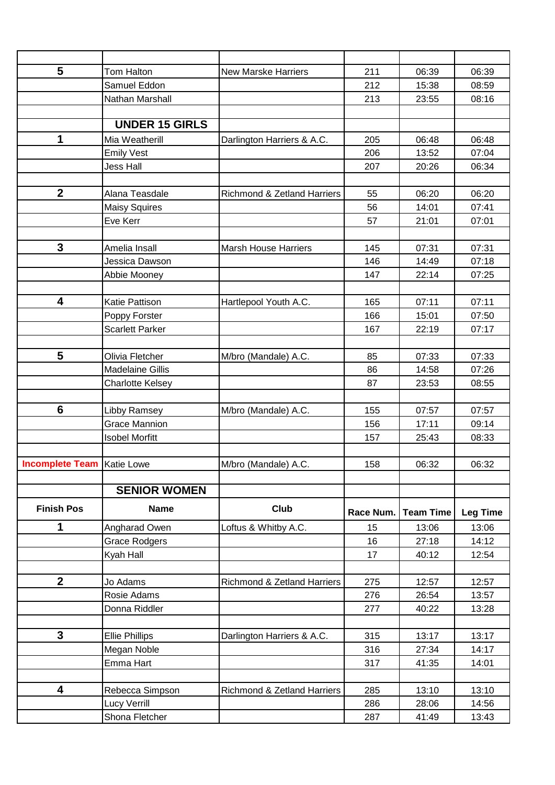| 5<br>211<br>Tom Halton<br>06:39<br>06:39<br><b>New Marske Harriers</b><br>Samuel Eddon<br>212<br>15:38<br>08:59<br>Nathan Marshall<br>213<br>23:55<br>08:16<br><b>UNDER 15 GIRLS</b><br>1<br>06:48<br>06:48<br>Mia Weatherill<br>205<br>Darlington Harriers & A.C.<br><b>Emily Vest</b><br>206<br>13:52<br>07:04<br>207<br>20:26<br>06:34<br><b>Jess Hall</b><br>$\mathbf{2}$<br>Alana Teasdale<br>55<br>06:20<br>06:20<br><b>Richmond &amp; Zetland Harriers</b><br>56<br>14:01<br>07:41<br><b>Maisy Squires</b><br>Eve Kerr<br>57<br>21:01<br>07:01<br>$\mathbf{3}$<br>Amelia Insall<br>145<br>07:31<br>07:31<br><b>Marsh House Harriers</b><br>Jessica Dawson<br>07:18<br>146<br>14:49<br>Abbie Mooney<br>147<br>22:14<br>07:25<br>4<br>07:11<br>07:11<br>Katie Pattison<br>Hartlepool Youth A.C.<br>165<br>166<br>07:50<br>Poppy Forster<br>15:01<br>22:19<br>167<br>07:17<br><b>Scarlett Parker</b><br>5<br>85<br>07:33<br>07:33<br>Olivia Fletcher<br>M/bro (Mandale) A.C.<br><b>Madelaine Gillis</b><br>86<br>14:58<br>07:26<br><b>Charlotte Kelsey</b><br>87<br>08:55<br>23:53<br>$6\phantom{1}$<br>M/bro (Mandale) A.C.<br>155<br>07:57<br>07:57<br>Libby Ramsey<br><b>Grace Mannion</b><br>156<br>17:11<br>09:14<br><b>Isobel Morfitt</b><br>08:33<br>157<br>25:43<br><b>Incomplete Team   Katie Lowe</b><br>M/bro (Mandale) A.C.<br>06:32<br>06:32<br>158<br><b>SENIOR WOMEN</b><br><b>Club</b><br><b>Finish Pos</b><br><b>Name</b><br><b>Team Time</b><br>Race Num.<br><b>Leg Time</b><br>1<br>Angharad Owen<br>Loftus & Whitby A.C.<br>15<br>13:06<br>13:06<br>14:12<br>16<br>27:18<br><b>Grace Rodgers</b><br>17<br>40:12<br>12:54<br>Kyah Hall<br>$\overline{2}$<br>275<br>12:57<br>Jo Adams<br><b>Richmond &amp; Zetland Harriers</b><br>12:57<br>276<br>26:54<br>13:57<br>Rosie Adams<br>277<br>40:22<br>13:28<br>Donna Riddler<br>3<br><b>Ellie Phillips</b><br>Darlington Harriers & A.C.<br>315<br>13:17<br>13:17<br>14:17<br>Megan Noble<br>316<br>27:34<br>Emma Hart<br>317<br>41:35<br>14:01<br>4<br>Rebecca Simpson<br><b>Richmond &amp; Zetland Harriers</b><br>285<br>13:10<br>13:10<br>14:56<br>286<br>28:06<br>Lucy Verrill<br>Shona Fletcher<br>41:49<br>287<br>13:43 |  |  |  |
|----------------------------------------------------------------------------------------------------------------------------------------------------------------------------------------------------------------------------------------------------------------------------------------------------------------------------------------------------------------------------------------------------------------------------------------------------------------------------------------------------------------------------------------------------------------------------------------------------------------------------------------------------------------------------------------------------------------------------------------------------------------------------------------------------------------------------------------------------------------------------------------------------------------------------------------------------------------------------------------------------------------------------------------------------------------------------------------------------------------------------------------------------------------------------------------------------------------------------------------------------------------------------------------------------------------------------------------------------------------------------------------------------------------------------------------------------------------------------------------------------------------------------------------------------------------------------------------------------------------------------------------------------------------------------------------------------------------------------------------------------------------------------------------------------------------------------------------------------------------------------------------------------------------------------------------------------------------------------------------------------------------------------------------------------------------------------------------------------------------------------------------------------------------------------------------------------|--|--|--|
|                                                                                                                                                                                                                                                                                                                                                                                                                                                                                                                                                                                                                                                                                                                                                                                                                                                                                                                                                                                                                                                                                                                                                                                                                                                                                                                                                                                                                                                                                                                                                                                                                                                                                                                                                                                                                                                                                                                                                                                                                                                                                                                                                                                                    |  |  |  |
|                                                                                                                                                                                                                                                                                                                                                                                                                                                                                                                                                                                                                                                                                                                                                                                                                                                                                                                                                                                                                                                                                                                                                                                                                                                                                                                                                                                                                                                                                                                                                                                                                                                                                                                                                                                                                                                                                                                                                                                                                                                                                                                                                                                                    |  |  |  |
|                                                                                                                                                                                                                                                                                                                                                                                                                                                                                                                                                                                                                                                                                                                                                                                                                                                                                                                                                                                                                                                                                                                                                                                                                                                                                                                                                                                                                                                                                                                                                                                                                                                                                                                                                                                                                                                                                                                                                                                                                                                                                                                                                                                                    |  |  |  |
|                                                                                                                                                                                                                                                                                                                                                                                                                                                                                                                                                                                                                                                                                                                                                                                                                                                                                                                                                                                                                                                                                                                                                                                                                                                                                                                                                                                                                                                                                                                                                                                                                                                                                                                                                                                                                                                                                                                                                                                                                                                                                                                                                                                                    |  |  |  |
|                                                                                                                                                                                                                                                                                                                                                                                                                                                                                                                                                                                                                                                                                                                                                                                                                                                                                                                                                                                                                                                                                                                                                                                                                                                                                                                                                                                                                                                                                                                                                                                                                                                                                                                                                                                                                                                                                                                                                                                                                                                                                                                                                                                                    |  |  |  |
|                                                                                                                                                                                                                                                                                                                                                                                                                                                                                                                                                                                                                                                                                                                                                                                                                                                                                                                                                                                                                                                                                                                                                                                                                                                                                                                                                                                                                                                                                                                                                                                                                                                                                                                                                                                                                                                                                                                                                                                                                                                                                                                                                                                                    |  |  |  |
|                                                                                                                                                                                                                                                                                                                                                                                                                                                                                                                                                                                                                                                                                                                                                                                                                                                                                                                                                                                                                                                                                                                                                                                                                                                                                                                                                                                                                                                                                                                                                                                                                                                                                                                                                                                                                                                                                                                                                                                                                                                                                                                                                                                                    |  |  |  |
|                                                                                                                                                                                                                                                                                                                                                                                                                                                                                                                                                                                                                                                                                                                                                                                                                                                                                                                                                                                                                                                                                                                                                                                                                                                                                                                                                                                                                                                                                                                                                                                                                                                                                                                                                                                                                                                                                                                                                                                                                                                                                                                                                                                                    |  |  |  |
|                                                                                                                                                                                                                                                                                                                                                                                                                                                                                                                                                                                                                                                                                                                                                                                                                                                                                                                                                                                                                                                                                                                                                                                                                                                                                                                                                                                                                                                                                                                                                                                                                                                                                                                                                                                                                                                                                                                                                                                                                                                                                                                                                                                                    |  |  |  |
|                                                                                                                                                                                                                                                                                                                                                                                                                                                                                                                                                                                                                                                                                                                                                                                                                                                                                                                                                                                                                                                                                                                                                                                                                                                                                                                                                                                                                                                                                                                                                                                                                                                                                                                                                                                                                                                                                                                                                                                                                                                                                                                                                                                                    |  |  |  |
|                                                                                                                                                                                                                                                                                                                                                                                                                                                                                                                                                                                                                                                                                                                                                                                                                                                                                                                                                                                                                                                                                                                                                                                                                                                                                                                                                                                                                                                                                                                                                                                                                                                                                                                                                                                                                                                                                                                                                                                                                                                                                                                                                                                                    |  |  |  |
|                                                                                                                                                                                                                                                                                                                                                                                                                                                                                                                                                                                                                                                                                                                                                                                                                                                                                                                                                                                                                                                                                                                                                                                                                                                                                                                                                                                                                                                                                                                                                                                                                                                                                                                                                                                                                                                                                                                                                                                                                                                                                                                                                                                                    |  |  |  |
|                                                                                                                                                                                                                                                                                                                                                                                                                                                                                                                                                                                                                                                                                                                                                                                                                                                                                                                                                                                                                                                                                                                                                                                                                                                                                                                                                                                                                                                                                                                                                                                                                                                                                                                                                                                                                                                                                                                                                                                                                                                                                                                                                                                                    |  |  |  |
|                                                                                                                                                                                                                                                                                                                                                                                                                                                                                                                                                                                                                                                                                                                                                                                                                                                                                                                                                                                                                                                                                                                                                                                                                                                                                                                                                                                                                                                                                                                                                                                                                                                                                                                                                                                                                                                                                                                                                                                                                                                                                                                                                                                                    |  |  |  |
|                                                                                                                                                                                                                                                                                                                                                                                                                                                                                                                                                                                                                                                                                                                                                                                                                                                                                                                                                                                                                                                                                                                                                                                                                                                                                                                                                                                                                                                                                                                                                                                                                                                                                                                                                                                                                                                                                                                                                                                                                                                                                                                                                                                                    |  |  |  |
|                                                                                                                                                                                                                                                                                                                                                                                                                                                                                                                                                                                                                                                                                                                                                                                                                                                                                                                                                                                                                                                                                                                                                                                                                                                                                                                                                                                                                                                                                                                                                                                                                                                                                                                                                                                                                                                                                                                                                                                                                                                                                                                                                                                                    |  |  |  |
|                                                                                                                                                                                                                                                                                                                                                                                                                                                                                                                                                                                                                                                                                                                                                                                                                                                                                                                                                                                                                                                                                                                                                                                                                                                                                                                                                                                                                                                                                                                                                                                                                                                                                                                                                                                                                                                                                                                                                                                                                                                                                                                                                                                                    |  |  |  |
|                                                                                                                                                                                                                                                                                                                                                                                                                                                                                                                                                                                                                                                                                                                                                                                                                                                                                                                                                                                                                                                                                                                                                                                                                                                                                                                                                                                                                                                                                                                                                                                                                                                                                                                                                                                                                                                                                                                                                                                                                                                                                                                                                                                                    |  |  |  |
|                                                                                                                                                                                                                                                                                                                                                                                                                                                                                                                                                                                                                                                                                                                                                                                                                                                                                                                                                                                                                                                                                                                                                                                                                                                                                                                                                                                                                                                                                                                                                                                                                                                                                                                                                                                                                                                                                                                                                                                                                                                                                                                                                                                                    |  |  |  |
|                                                                                                                                                                                                                                                                                                                                                                                                                                                                                                                                                                                                                                                                                                                                                                                                                                                                                                                                                                                                                                                                                                                                                                                                                                                                                                                                                                                                                                                                                                                                                                                                                                                                                                                                                                                                                                                                                                                                                                                                                                                                                                                                                                                                    |  |  |  |
|                                                                                                                                                                                                                                                                                                                                                                                                                                                                                                                                                                                                                                                                                                                                                                                                                                                                                                                                                                                                                                                                                                                                                                                                                                                                                                                                                                                                                                                                                                                                                                                                                                                                                                                                                                                                                                                                                                                                                                                                                                                                                                                                                                                                    |  |  |  |
|                                                                                                                                                                                                                                                                                                                                                                                                                                                                                                                                                                                                                                                                                                                                                                                                                                                                                                                                                                                                                                                                                                                                                                                                                                                                                                                                                                                                                                                                                                                                                                                                                                                                                                                                                                                                                                                                                                                                                                                                                                                                                                                                                                                                    |  |  |  |
|                                                                                                                                                                                                                                                                                                                                                                                                                                                                                                                                                                                                                                                                                                                                                                                                                                                                                                                                                                                                                                                                                                                                                                                                                                                                                                                                                                                                                                                                                                                                                                                                                                                                                                                                                                                                                                                                                                                                                                                                                                                                                                                                                                                                    |  |  |  |
|                                                                                                                                                                                                                                                                                                                                                                                                                                                                                                                                                                                                                                                                                                                                                                                                                                                                                                                                                                                                                                                                                                                                                                                                                                                                                                                                                                                                                                                                                                                                                                                                                                                                                                                                                                                                                                                                                                                                                                                                                                                                                                                                                                                                    |  |  |  |
|                                                                                                                                                                                                                                                                                                                                                                                                                                                                                                                                                                                                                                                                                                                                                                                                                                                                                                                                                                                                                                                                                                                                                                                                                                                                                                                                                                                                                                                                                                                                                                                                                                                                                                                                                                                                                                                                                                                                                                                                                                                                                                                                                                                                    |  |  |  |
|                                                                                                                                                                                                                                                                                                                                                                                                                                                                                                                                                                                                                                                                                                                                                                                                                                                                                                                                                                                                                                                                                                                                                                                                                                                                                                                                                                                                                                                                                                                                                                                                                                                                                                                                                                                                                                                                                                                                                                                                                                                                                                                                                                                                    |  |  |  |
|                                                                                                                                                                                                                                                                                                                                                                                                                                                                                                                                                                                                                                                                                                                                                                                                                                                                                                                                                                                                                                                                                                                                                                                                                                                                                                                                                                                                                                                                                                                                                                                                                                                                                                                                                                                                                                                                                                                                                                                                                                                                                                                                                                                                    |  |  |  |
|                                                                                                                                                                                                                                                                                                                                                                                                                                                                                                                                                                                                                                                                                                                                                                                                                                                                                                                                                                                                                                                                                                                                                                                                                                                                                                                                                                                                                                                                                                                                                                                                                                                                                                                                                                                                                                                                                                                                                                                                                                                                                                                                                                                                    |  |  |  |
|                                                                                                                                                                                                                                                                                                                                                                                                                                                                                                                                                                                                                                                                                                                                                                                                                                                                                                                                                                                                                                                                                                                                                                                                                                                                                                                                                                                                                                                                                                                                                                                                                                                                                                                                                                                                                                                                                                                                                                                                                                                                                                                                                                                                    |  |  |  |
|                                                                                                                                                                                                                                                                                                                                                                                                                                                                                                                                                                                                                                                                                                                                                                                                                                                                                                                                                                                                                                                                                                                                                                                                                                                                                                                                                                                                                                                                                                                                                                                                                                                                                                                                                                                                                                                                                                                                                                                                                                                                                                                                                                                                    |  |  |  |
|                                                                                                                                                                                                                                                                                                                                                                                                                                                                                                                                                                                                                                                                                                                                                                                                                                                                                                                                                                                                                                                                                                                                                                                                                                                                                                                                                                                                                                                                                                                                                                                                                                                                                                                                                                                                                                                                                                                                                                                                                                                                                                                                                                                                    |  |  |  |
|                                                                                                                                                                                                                                                                                                                                                                                                                                                                                                                                                                                                                                                                                                                                                                                                                                                                                                                                                                                                                                                                                                                                                                                                                                                                                                                                                                                                                                                                                                                                                                                                                                                                                                                                                                                                                                                                                                                                                                                                                                                                                                                                                                                                    |  |  |  |
|                                                                                                                                                                                                                                                                                                                                                                                                                                                                                                                                                                                                                                                                                                                                                                                                                                                                                                                                                                                                                                                                                                                                                                                                                                                                                                                                                                                                                                                                                                                                                                                                                                                                                                                                                                                                                                                                                                                                                                                                                                                                                                                                                                                                    |  |  |  |
|                                                                                                                                                                                                                                                                                                                                                                                                                                                                                                                                                                                                                                                                                                                                                                                                                                                                                                                                                                                                                                                                                                                                                                                                                                                                                                                                                                                                                                                                                                                                                                                                                                                                                                                                                                                                                                                                                                                                                                                                                                                                                                                                                                                                    |  |  |  |
|                                                                                                                                                                                                                                                                                                                                                                                                                                                                                                                                                                                                                                                                                                                                                                                                                                                                                                                                                                                                                                                                                                                                                                                                                                                                                                                                                                                                                                                                                                                                                                                                                                                                                                                                                                                                                                                                                                                                                                                                                                                                                                                                                                                                    |  |  |  |
|                                                                                                                                                                                                                                                                                                                                                                                                                                                                                                                                                                                                                                                                                                                                                                                                                                                                                                                                                                                                                                                                                                                                                                                                                                                                                                                                                                                                                                                                                                                                                                                                                                                                                                                                                                                                                                                                                                                                                                                                                                                                                                                                                                                                    |  |  |  |
|                                                                                                                                                                                                                                                                                                                                                                                                                                                                                                                                                                                                                                                                                                                                                                                                                                                                                                                                                                                                                                                                                                                                                                                                                                                                                                                                                                                                                                                                                                                                                                                                                                                                                                                                                                                                                                                                                                                                                                                                                                                                                                                                                                                                    |  |  |  |
|                                                                                                                                                                                                                                                                                                                                                                                                                                                                                                                                                                                                                                                                                                                                                                                                                                                                                                                                                                                                                                                                                                                                                                                                                                                                                                                                                                                                                                                                                                                                                                                                                                                                                                                                                                                                                                                                                                                                                                                                                                                                                                                                                                                                    |  |  |  |
|                                                                                                                                                                                                                                                                                                                                                                                                                                                                                                                                                                                                                                                                                                                                                                                                                                                                                                                                                                                                                                                                                                                                                                                                                                                                                                                                                                                                                                                                                                                                                                                                                                                                                                                                                                                                                                                                                                                                                                                                                                                                                                                                                                                                    |  |  |  |
|                                                                                                                                                                                                                                                                                                                                                                                                                                                                                                                                                                                                                                                                                                                                                                                                                                                                                                                                                                                                                                                                                                                                                                                                                                                                                                                                                                                                                                                                                                                                                                                                                                                                                                                                                                                                                                                                                                                                                                                                                                                                                                                                                                                                    |  |  |  |
|                                                                                                                                                                                                                                                                                                                                                                                                                                                                                                                                                                                                                                                                                                                                                                                                                                                                                                                                                                                                                                                                                                                                                                                                                                                                                                                                                                                                                                                                                                                                                                                                                                                                                                                                                                                                                                                                                                                                                                                                                                                                                                                                                                                                    |  |  |  |
|                                                                                                                                                                                                                                                                                                                                                                                                                                                                                                                                                                                                                                                                                                                                                                                                                                                                                                                                                                                                                                                                                                                                                                                                                                                                                                                                                                                                                                                                                                                                                                                                                                                                                                                                                                                                                                                                                                                                                                                                                                                                                                                                                                                                    |  |  |  |
|                                                                                                                                                                                                                                                                                                                                                                                                                                                                                                                                                                                                                                                                                                                                                                                                                                                                                                                                                                                                                                                                                                                                                                                                                                                                                                                                                                                                                                                                                                                                                                                                                                                                                                                                                                                                                                                                                                                                                                                                                                                                                                                                                                                                    |  |  |  |
|                                                                                                                                                                                                                                                                                                                                                                                                                                                                                                                                                                                                                                                                                                                                                                                                                                                                                                                                                                                                                                                                                                                                                                                                                                                                                                                                                                                                                                                                                                                                                                                                                                                                                                                                                                                                                                                                                                                                                                                                                                                                                                                                                                                                    |  |  |  |
|                                                                                                                                                                                                                                                                                                                                                                                                                                                                                                                                                                                                                                                                                                                                                                                                                                                                                                                                                                                                                                                                                                                                                                                                                                                                                                                                                                                                                                                                                                                                                                                                                                                                                                                                                                                                                                                                                                                                                                                                                                                                                                                                                                                                    |  |  |  |
|                                                                                                                                                                                                                                                                                                                                                                                                                                                                                                                                                                                                                                                                                                                                                                                                                                                                                                                                                                                                                                                                                                                                                                                                                                                                                                                                                                                                                                                                                                                                                                                                                                                                                                                                                                                                                                                                                                                                                                                                                                                                                                                                                                                                    |  |  |  |
|                                                                                                                                                                                                                                                                                                                                                                                                                                                                                                                                                                                                                                                                                                                                                                                                                                                                                                                                                                                                                                                                                                                                                                                                                                                                                                                                                                                                                                                                                                                                                                                                                                                                                                                                                                                                                                                                                                                                                                                                                                                                                                                                                                                                    |  |  |  |
|                                                                                                                                                                                                                                                                                                                                                                                                                                                                                                                                                                                                                                                                                                                                                                                                                                                                                                                                                                                                                                                                                                                                                                                                                                                                                                                                                                                                                                                                                                                                                                                                                                                                                                                                                                                                                                                                                                                                                                                                                                                                                                                                                                                                    |  |  |  |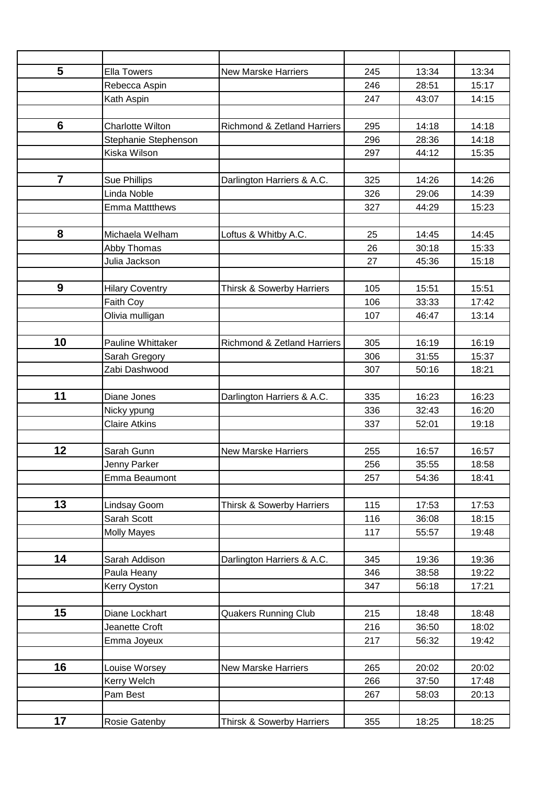| 5                | <b>Ella Towers</b>      | <b>New Marske Harriers</b>             | 245        | 13:34 | 13:34          |
|------------------|-------------------------|----------------------------------------|------------|-------|----------------|
|                  | Rebecca Aspin           |                                        | 246        | 28:51 | 15:17          |
|                  | Kath Aspin              |                                        | 247        | 43:07 | 14:15          |
|                  |                         |                                        |            |       |                |
| $6\phantom{1}6$  | <b>Charlotte Wilton</b> | <b>Richmond &amp; Zetland Harriers</b> | 295        | 14:18 | 14:18          |
|                  | Stephanie Stephenson    |                                        | 296        | 28:36 | 14:18          |
|                  | Kiska Wilson            |                                        | 297        | 44:12 | 15:35          |
|                  |                         |                                        |            |       |                |
| $\overline{7}$   | Sue Phillips            | Darlington Harriers & A.C.             | 325        | 14:26 | 14:26          |
|                  | Linda Noble             |                                        | 326        | 29:06 | 14:39          |
|                  | <b>Emma Mattthews</b>   |                                        | 327        | 44:29 | 15:23          |
|                  |                         |                                        |            |       |                |
| 8                | Michaela Welham         | Loftus & Whitby A.C.                   | 25         | 14:45 | 14:45          |
|                  | Abby Thomas             |                                        | 26         | 30:18 | 15:33          |
|                  | Julia Jackson           |                                        | 27         | 45:36 | 15:18          |
|                  |                         |                                        |            |       |                |
| $\boldsymbol{9}$ | <b>Hilary Coventry</b>  | <b>Thirsk &amp; Sowerby Harriers</b>   | 105        | 15:51 | 15:51          |
|                  | Faith Coy               |                                        | 106        | 33:33 | 17:42          |
|                  | Olivia mulligan         |                                        | 107        | 46:47 | 13:14          |
|                  |                         |                                        |            |       |                |
| 10               | Pauline Whittaker       | <b>Richmond &amp; Zetland Harriers</b> | 305        | 16:19 | 16:19          |
|                  | Sarah Gregory           |                                        | 306        | 31:55 | 15:37          |
|                  | Zabi Dashwood           |                                        | 307        | 50:16 | 18:21          |
|                  |                         |                                        |            |       |                |
| 11               | Diane Jones             | Darlington Harriers & A.C.             | 335        | 16:23 | 16:23          |
|                  | Nicky ypung             |                                        | 336        | 32:43 | 16:20          |
|                  | <b>Claire Atkins</b>    |                                        | 337        | 52:01 | 19:18          |
| 12               | Sarah Gunn              | <b>New Marske Harriers</b>             | 255        | 16:57 | 16:57          |
|                  | Jenny Parker            |                                        |            | 35:55 |                |
|                  | Emma Beaumont           |                                        | 256<br>257 | 54:36 | 18:58<br>18:41 |
|                  |                         |                                        |            |       |                |
| 13               | Lindsay Goom            | <b>Thirsk &amp; Sowerby Harriers</b>   | 115        | 17:53 | 17:53          |
|                  | Sarah Scott             |                                        | 116        | 36:08 | 18:15          |
|                  | <b>Molly Mayes</b>      |                                        | 117        | 55:57 | 19:48          |
|                  |                         |                                        |            |       |                |
| 14               | Sarah Addison           | Darlington Harriers & A.C.             | 345        | 19:36 | 19:36          |
|                  | Paula Heany             |                                        | 346        | 38:58 | 19:22          |
|                  | Kerry Oyston            |                                        | 347        | 56:18 | 17:21          |
|                  |                         |                                        |            |       |                |
| 15               | Diane Lockhart          | <b>Quakers Running Club</b>            | 215        | 18:48 | 18:48          |
|                  | Jeanette Croft          |                                        | 216        | 36:50 | 18:02          |
|                  | Emma Joyeux             |                                        | 217        | 56:32 | 19:42          |
|                  |                         |                                        |            |       |                |
| 16               | Louise Worsey           | <b>New Marske Harriers</b>             | 265        | 20:02 | 20:02          |
|                  | Kerry Welch             |                                        | 266        | 37:50 | 17:48          |
|                  | Pam Best                |                                        | 267        | 58:03 | 20:13          |
|                  |                         |                                        |            |       |                |
| 17               | Rosie Gatenby           | <b>Thirsk &amp; Sowerby Harriers</b>   | 355        | 18:25 | 18:25          |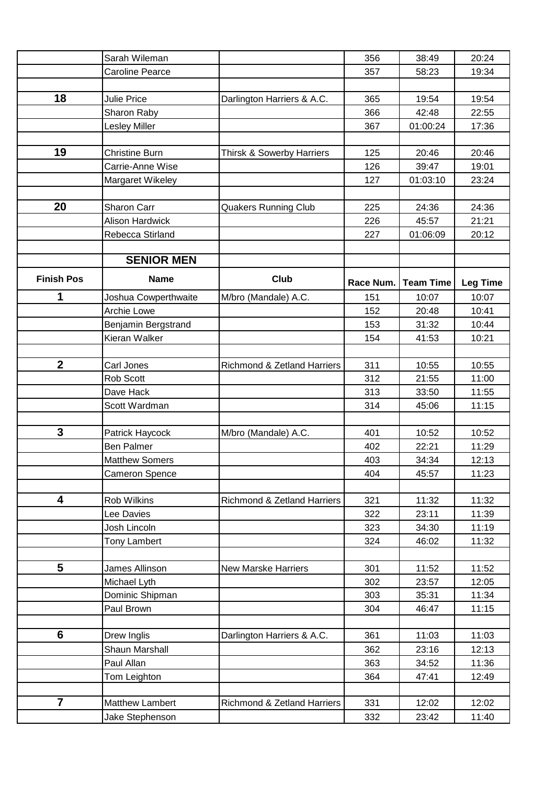|                   | Sarah Wileman          |                                        | 356       | 38:49            | 20:24           |
|-------------------|------------------------|----------------------------------------|-----------|------------------|-----------------|
|                   | <b>Caroline Pearce</b> |                                        | 357       | 58:23            | 19:34           |
|                   |                        |                                        |           |                  |                 |
| 18                | <b>Julie Price</b>     | Darlington Harriers & A.C.             | 365       | 19:54            | 19:54           |
|                   | Sharon Raby            |                                        | 366       | 42:48            | 22:55           |
|                   | <b>Lesley Miller</b>   |                                        | 367       | 01:00:24         | 17:36           |
|                   |                        |                                        |           |                  |                 |
| 19                | <b>Christine Burn</b>  | Thirsk & Sowerby Harriers              | 125       | 20:46            | 20:46           |
|                   | Carrie-Anne Wise       |                                        | 126       | 39:47            | 19:01           |
|                   | Margaret Wikeley       |                                        | 127       | 01:03:10         | 23:24           |
|                   |                        |                                        |           |                  |                 |
| 20                | Sharon Carr            | <b>Quakers Running Club</b>            | 225       | 24:36            | 24:36           |
|                   | <b>Alison Hardwick</b> |                                        | 226       | 45:57            | 21:21           |
|                   | Rebecca Stirland       |                                        | 227       | 01:06:09         | 20:12           |
|                   |                        |                                        |           |                  |                 |
|                   | <b>SENIOR MEN</b>      |                                        |           |                  |                 |
| <b>Finish Pos</b> | <b>Name</b>            | Club                                   | Race Num. | <b>Team Time</b> | <b>Leg Time</b> |
| 1                 | Joshua Cowperthwaite   | M/bro (Mandale) A.C.                   | 151       | 10:07            | 10:07           |
|                   | Archie Lowe            |                                        | 152       | 20:48            | 10:41           |
|                   | Benjamin Bergstrand    |                                        | 153       | 31:32            | 10:44           |
|                   | Kieran Walker          |                                        | 154       | 41:53            | 10:21           |
|                   |                        |                                        |           |                  |                 |
| $\boldsymbol{2}$  | Carl Jones             | <b>Richmond &amp; Zetland Harriers</b> | 311       | 10:55            | 10:55           |
|                   | Rob Scott              |                                        | 312       | 21:55            | 11:00           |
|                   | Dave Hack              |                                        | 313       | 33:50            | 11:55           |
|                   | Scott Wardman          |                                        | 314       | 45:06            | 11:15           |
|                   |                        |                                        |           |                  |                 |
| $\mathbf{3}$      | Patrick Haycock        | M/bro (Mandale) A.C.                   | 401       | 10:52            | 10:52           |
|                   | <b>Ben Palmer</b>      |                                        | 402       | 22:21            | 11:29           |
|                   | <b>Matthew Somers</b>  |                                        | 403       | 34:34            | 12:13           |
|                   | Cameron Spence         |                                        | 404       | 45:57            | 11:23           |
|                   |                        |                                        |           |                  |                 |
| 4                 | <b>Rob Wilkins</b>     | Richmond & Zetland Harriers            | 321       | 11:32            | 11:32           |
|                   | Lee Davies             |                                        | 322       | 23:11            | 11:39           |
|                   | Josh Lincoln           |                                        | 323       | 34:30            | 11:19           |
|                   | <b>Tony Lambert</b>    |                                        | 324       | 46:02            | 11:32           |
| $5\phantom{.}$    | <b>James Allinson</b>  | <b>New Marske Harriers</b>             | 301       | 11:52            | 11:52           |
|                   | Michael Lyth           |                                        | 302       | 23:57            | 12:05           |
|                   | Dominic Shipman        |                                        | 303       | 35:31            | 11:34           |
|                   | Paul Brown             |                                        | 304       | 46:47            | 11:15           |
|                   |                        |                                        |           |                  |                 |
| 6                 | Drew Inglis            | Darlington Harriers & A.C.             | 361       | 11:03            | 11:03           |
|                   | Shaun Marshall         |                                        | 362       | 23:16            | 12:13           |
|                   | Paul Allan             |                                        | 363       | 34:52            | 11:36           |
|                   | Tom Leighton           |                                        | 364       | 47:41            | 12:49           |
|                   |                        |                                        |           |                  |                 |
| $\overline{7}$    | Matthew Lambert        | <b>Richmond &amp; Zetland Harriers</b> | 331       | 12:02            | 12:02           |
|                   | Jake Stephenson        |                                        | 332       | 23:42            | 11:40           |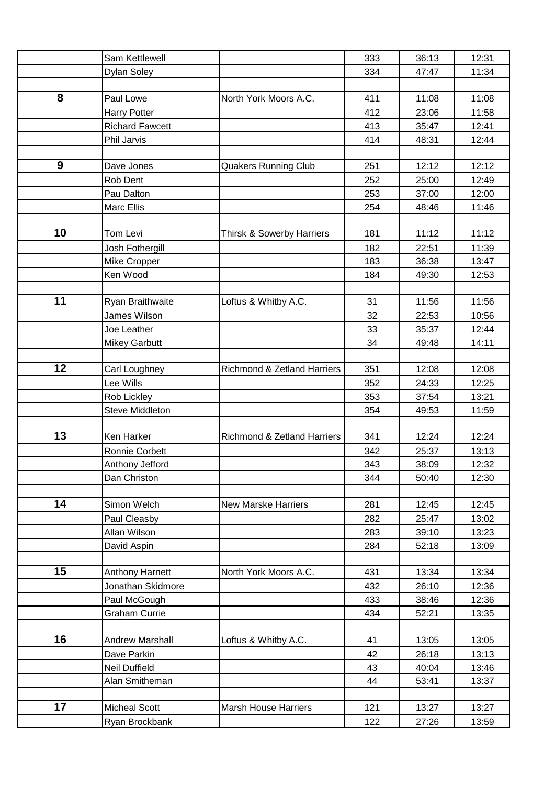|    | Sam Kettlewell         |                                        | 333 | 36:13 | 12:31 |
|----|------------------------|----------------------------------------|-----|-------|-------|
|    | Dylan Soley            |                                        | 334 | 47:47 | 11:34 |
|    |                        |                                        |     |       |       |
| 8  | Paul Lowe              | North York Moors A.C.                  | 411 | 11:08 | 11:08 |
|    | <b>Harry Potter</b>    |                                        | 412 | 23:06 | 11:58 |
|    | <b>Richard Fawcett</b> |                                        | 413 | 35:47 | 12:41 |
|    | Phil Jarvis            |                                        | 414 | 48:31 | 12:44 |
|    |                        |                                        |     |       |       |
| 9  | Dave Jones             | <b>Quakers Running Club</b>            | 251 | 12:12 | 12:12 |
|    | Rob Dent               |                                        | 252 | 25:00 | 12:49 |
|    | Pau Dalton             |                                        | 253 | 37:00 | 12:00 |
|    | Marc Ellis             |                                        | 254 | 48:46 | 11:46 |
|    |                        |                                        |     |       |       |
| 10 | Tom Levi               | Thirsk & Sowerby Harriers              | 181 | 11:12 | 11:12 |
|    | Josh Fothergill        |                                        | 182 | 22:51 | 11:39 |
|    | Mike Cropper           |                                        | 183 | 36:38 | 13:47 |
|    | Ken Wood               |                                        | 184 | 49:30 | 12:53 |
|    |                        |                                        |     |       |       |
| 11 | Ryan Braithwaite       | Loftus & Whitby A.C.                   | 31  | 11:56 | 11:56 |
|    | James Wilson           |                                        | 32  | 22:53 | 10:56 |
|    | Joe Leather            |                                        | 33  | 35:37 | 12:44 |
|    | <b>Mikey Garbutt</b>   |                                        | 34  | 49:48 | 14:11 |
| 12 | Carl Loughney          | <b>Richmond &amp; Zetland Harriers</b> | 351 | 12:08 | 12:08 |
|    | Lee Wills              |                                        | 352 | 24:33 | 12:25 |
|    | Rob Lickley            |                                        | 353 | 37:54 | 13:21 |
|    | Steve Middleton        |                                        | 354 | 49:53 | 11:59 |
|    |                        |                                        |     |       |       |
| 13 | Ken Harker             | Richmond & Zetland Harriers            | 341 | 12:24 | 12:24 |
|    | Ronnie Corbett         |                                        | 342 | 25:37 | 13:13 |
|    | Anthony Jefford        |                                        | 343 | 38:09 | 12:32 |
|    | Dan Christon           |                                        | 344 | 50:40 | 12:30 |
|    |                        |                                        |     |       |       |
| 14 | Simon Welch            | <b>New Marske Harriers</b>             | 281 | 12:45 | 12:45 |
|    | Paul Cleasby           |                                        | 282 | 25:47 | 13:02 |
|    | Allan Wilson           |                                        | 283 | 39:10 | 13:23 |
|    | David Aspin            |                                        | 284 | 52:18 | 13:09 |
|    |                        |                                        |     |       |       |
| 15 | <b>Anthony Harnett</b> | North York Moors A.C.                  | 431 | 13:34 | 13:34 |
|    | Jonathan Skidmore      |                                        | 432 | 26:10 | 12:36 |
|    | Paul McGough           |                                        | 433 | 38:46 | 12:36 |
|    | <b>Graham Currie</b>   |                                        | 434 | 52:21 | 13:35 |
|    |                        |                                        |     |       |       |
| 16 | <b>Andrew Marshall</b> | Loftus & Whitby A.C.                   | 41  | 13:05 | 13:05 |
|    | Dave Parkin            |                                        | 42  | 26:18 | 13:13 |
|    | <b>Neil Duffield</b>   |                                        | 43  | 40:04 | 13:46 |
|    | Alan Smitheman         |                                        | 44  | 53:41 | 13:37 |
|    |                        |                                        |     |       |       |
| 17 | <b>Micheal Scott</b>   | <b>Marsh House Harriers</b>            | 121 | 13:27 | 13:27 |
|    | Ryan Brockbank         |                                        | 122 | 27:26 | 13:59 |